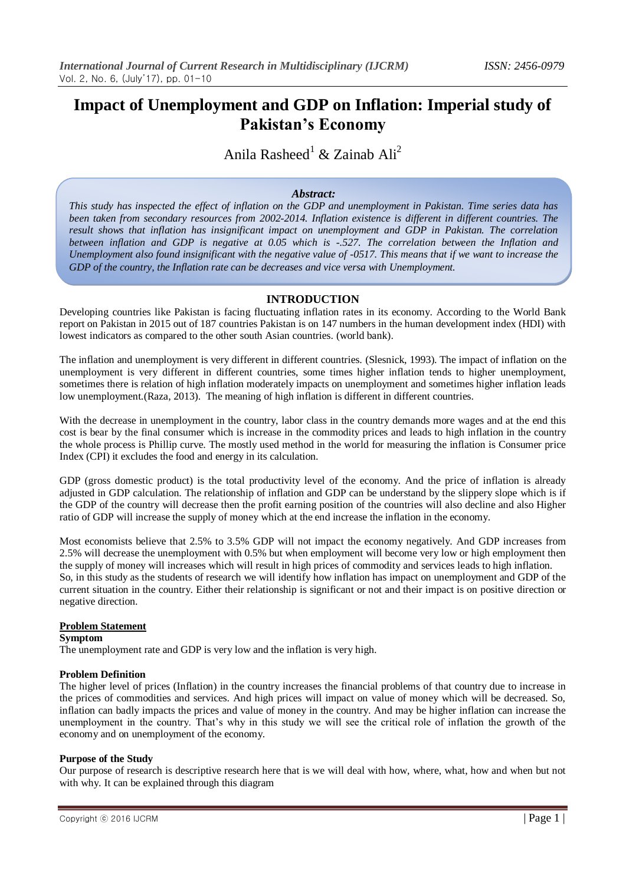# **Impact of Unemployment and GDP on Inflation: Imperial study of Pakistan's Economy**

Anila Rasheed<sup>1</sup> & Zainab Ali<sup>2</sup>

#### *Abstract:*

*This study has inspected the effect of inflation on the GDP and unemployment in Pakistan. Time series data has been taken from secondary resources from 2002-2014. Inflation existence is different in different countries. The result shows that inflation has insignificant impact on unemployment and GDP in Pakistan. The correlation between inflation and GDP is negative at 0.05 which is -.527. The correlation between the Inflation and Unemployment also found insignificant with the negative value of -0517. This means that if we want to increase the GDP of the country, the Inflation rate can be decreases and vice versa with Unemployment.*

#### **INTRODUCTION**

Developing countries like Pakistan is facing fluctuating inflation rates in its economy. According to the World Bank report on Pakistan in 2015 out of 187 countries Pakistan is on 147 numbers in the human development index (HDI) with lowest indicators as compared to the other south Asian countries. (world bank).

The inflation and unemployment is very different in different countries. (Slesnick, 1993). The impact of inflation on the unemployment is very different in different countries, some times higher inflation tends to higher unemployment, sometimes there is relation of high inflation moderately impacts on unemployment and sometimes higher inflation leads low unemployment.(Raza, 2013). The meaning of high inflation is different in different countries.

With the decrease in unemployment in the country, labor class in the country demands more wages and at the end this cost is bear by the final consumer which is increase in the commodity prices and leads to high inflation in the country the whole process is Phillip curve. The mostly used method in the world for measuring the inflation is Consumer price Index (CPI) it excludes the food and energy in its calculation.

GDP (gross domestic product) is the total productivity level of the economy. And the price of inflation is already adjusted in GDP calculation. The relationship of inflation and GDP can be understand by the slippery slope which is if the GDP of the country will decrease then the profit earning position of the countries will also decline and also Higher ratio of GDP will increase the supply of money which at the end increase the inflation in the economy.

Most economists believe that 2.5% to 3.5% GDP will not impact the economy negatively. And GDP increases from 2.5% will decrease the unemployment with 0.5% but when employment will become very low or high employment then the supply of money will increases which will result in high prices of commodity and services leads to high inflation. So, in this study as the students of research we will identify how inflation has impact on unemployment and GDP of the current situation in the country. Either their relationship is significant or not and their impact is on positive direction or negative direction.

#### **Problem Statement**

#### **Symptom**

The unemployment rate and GDP is very low and the inflation is very high.

#### **Problem Definition**

The higher level of prices (Inflation) in the country increases the financial problems of that country due to increase in the prices of commodities and services. And high prices will impact on value of money which will be decreased. So, inflation can badly impacts the prices and value of money in the country. And may be higher inflation can increase the unemployment in the country. That's why in this study we will see the critical role of inflation the growth of the economy and on unemployment of the economy.

#### **Purpose of the Study**

Our purpose of research is descriptive research here that is we will deal with how, where, what, how and when but not with why. It can be explained through this diagram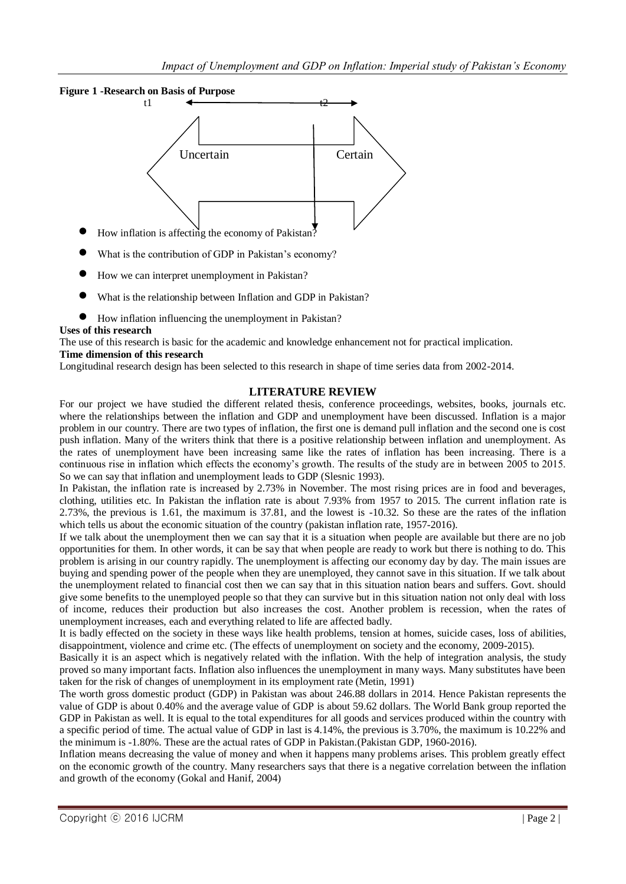

- What is the contribution of GDP in Pakistan's economy?
- How we can interpret unemployment in Pakistan?
- What is the relationship between Inflation and GDP in Pakistan?
- How inflation influencing the unemployment in Pakistan?

#### **Uses of this research**

The use of this research is basic for the academic and knowledge enhancement not for practical implication.

## **Time dimension of this research**

Longitudinal research design has been selected to this research in shape of time series data from 2002-2014.

## **LITERATURE REVIEW**

For our project we have studied the different related thesis, conference proceedings, websites, books, journals etc. where the relationships between the inflation and GDP and unemployment have been discussed. Inflation is a major problem in our country. There are two types of inflation, the first one is demand pull inflation and the second one is cost push inflation. Many of the writers think that there is a positive relationship between inflation and unemployment. As the rates of unemployment have been increasing same like the rates of inflation has been increasing. There is a continuous rise in inflation which effects the economy's growth. The results of the study are in between 2005 to 2015. So we can say that inflation and unemployment leads to GDP (Slesnic 1993).

In Pakistan, the inflation rate is increased by 2.73% in November. The most rising prices are in food and beverages, clothing, utilities etc. In Pakistan the inflation rate is about 7.93% from 1957 to 2015. The current inflation rate is 2.73%, the previous is 1.61, the maximum is 37.81, and the lowest is -10.32. So these are the rates of the inflation which tells us about the economic situation of the country (pakistan inflation rate, 1957-2016).

If we talk about the unemployment then we can say that it is a situation when people are available but there are no job opportunities for them. In other words, it can be say that when people are ready to work but there is nothing to do. This problem is arising in our country rapidly. The unemployment is affecting our economy day by day. The main issues are buying and spending power of the people when they are unemployed, they cannot save in this situation. If we talk about the unemployment related to financial cost then we can say that in this situation nation bears and suffers. Govt. should give some benefits to the unemployed people so that they can survive but in this situation nation not only deal with loss of income, reduces their production but also increases the cost. Another problem is recession, when the rates of unemployment increases, each and everything related to life are affected badly.

It is badly effected on the society in these ways like health problems, tension at homes, suicide cases, loss of abilities, disappointment, violence and crime etc. (The effects of unemployment on society and the economy, 2009-2015).

Basically it is an aspect which is negatively related with the inflation. With the help of integration analysis, the study proved so many important facts. Inflation also influences the unemployment in many ways. Many substitutes have been taken for the risk of changes of unemployment in its employment rate (Metin, 1991)

The worth gross domestic product (GDP) in Pakistan was about 246.88 dollars in 2014. Hence Pakistan represents the value of GDP is about 0.40% and the average value of GDP is about 59.62 dollars. The World Bank group reported the GDP in Pakistan as well. It is equal to the total expenditures for all goods and services produced within the country with a specific period of time. The actual value of GDP in last is 4.14%, the previous is 3.70%, the maximum is 10.22% and the minimum is -1.80%. These are the actual rates of GDP in Pakistan.(Pakistan GDP, 1960-2016).

Inflation means decreasing the value of money and when it happens many problems arises. This problem greatly effect on the economic growth of the country. Many researchers says that there is a negative correlation between the inflation and growth of the economy (Gokal and Hanif, 2004)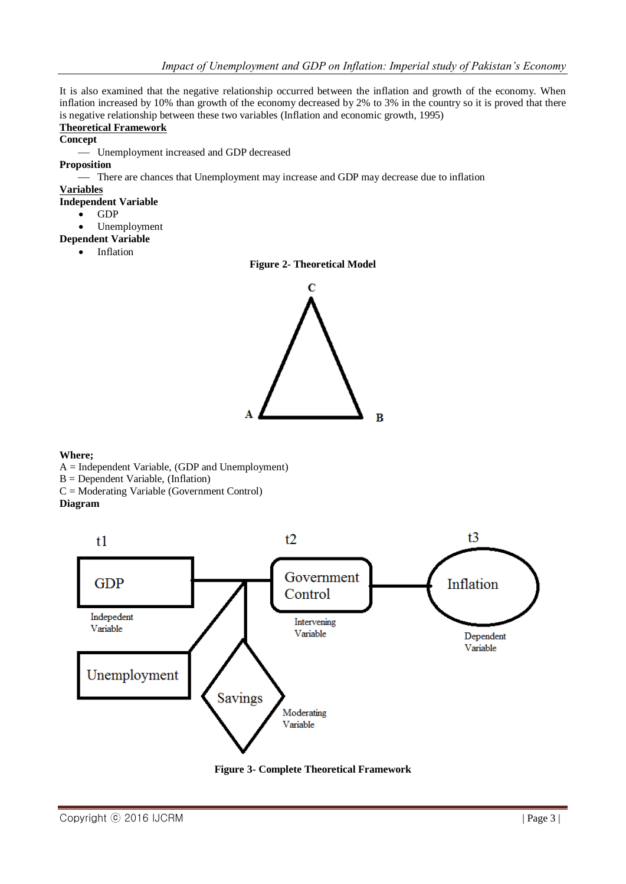It is also examined that the negative relationship occurred between the inflation and growth of the economy. When inflation increased by 10% than growth of the economy decreased by 2% to 3% in the country so it is proved that there is negative relationship between these two variables (Inflation and economic growth, 1995)

## **Theoretical Framework**

**Concept**

Unemployment increased and GDP decreased

#### **Proposition**

- There are chances that Unemployment may increase and GDP may decrease due to inflation

## **Variables**

## **Independent Variable**

- $\bullet$  GDP
	- Unemployment

## **Dependent Variable**

Inflation





#### **Where;**

- A = Independent Variable, (GDP and Unemployment)
- B = Dependent Variable, (Inflation)
- C = Moderating Variable (Government Control)

## **Diagram**



**Figure 3- Complete Theoretical Framework**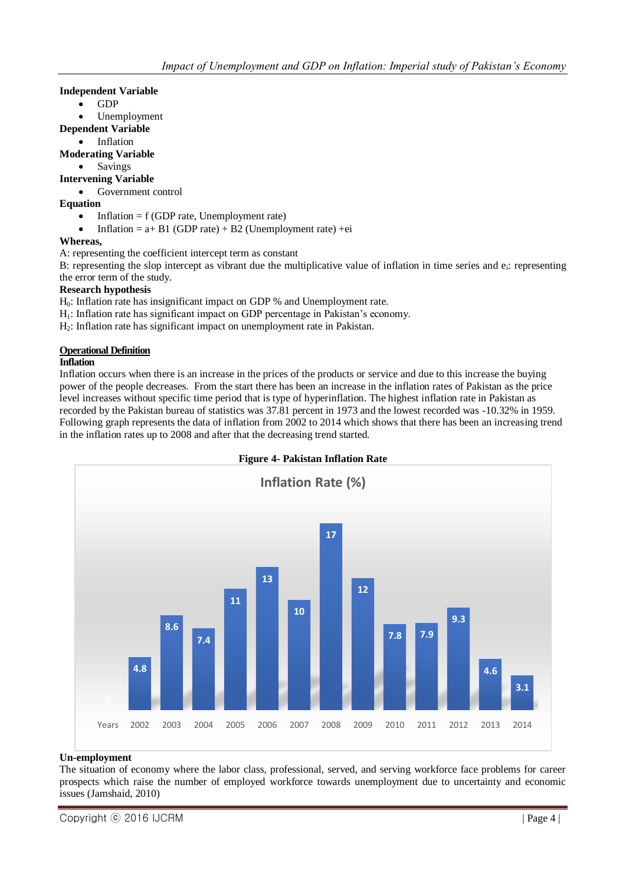#### **Independent Variable**

- $\bullet$  GDP
- Unemployment

## **Dependent Variable**

## Inflation

## **Moderating Variable**

• Savings

## **Intervening Variable**

• Government control

## **Equation**

- Inflation = f (GDP rate, Unemployment rate)
- Inflation =  $a + B1$  (GDP rate) + B2 (Unemployment rate) +ei

## **Whereas,**

A: representing the coefficient intercept term as constant

B: representing the slop intercept as vibrant due the multiplicative value of inflation in time series and  $e_i$ : representing the error term of the study.

#### **Research hypothesis**

H0: Inflation rate has insignificant impact on GDP % and Unemployment rate.

- H<sub>1</sub>: Inflation rate has significant impact on GDP percentage in Pakistan's economy.
- H2: Inflation rate has significant impact on unemployment rate in Pakistan.

## **Operational Definition**

#### **Inflation**

Inflation occurs when there is an increase in the prices of the products or service and due to this increase the buying power of the people decreases. From the start there has been an increase in the inflation rates of Pakistan as the price level increases without specific time period that is type of hyperinflation. The highest inflation rate in Pakistan as recorded by the Pakistan bureau of statistics was 37.81 percent in 1973 and the lowest recorded was -10.32% in 1959. Following graph represents the data of inflation from 2002 to 2014 which shows that there has been an increasing trend in the inflation rates up to 2008 and after that the decreasing trend started.



## **Un-employment**

The situation of economy where the labor class, professional, served, and serving workforce face problems for career prospects which raise the number of employed workforce towards unemployment due to uncertainty and economic issues (Jamshaid, 2010)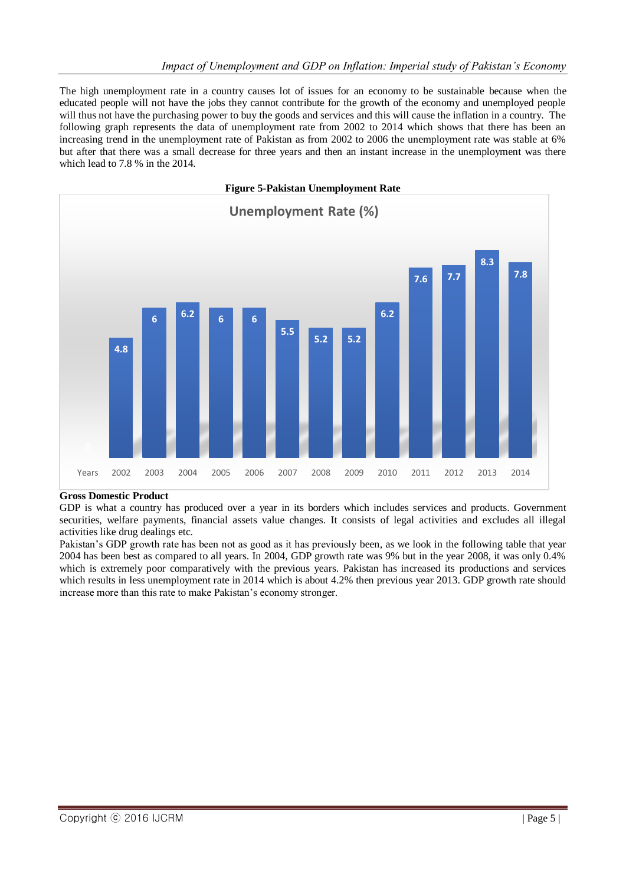The high unemployment rate in a country causes lot of issues for an economy to be sustainable because when the educated people will not have the jobs they cannot contribute for the growth of the economy and unemployed people will thus not have the purchasing power to buy the goods and services and this will cause the inflation in a country. The following graph represents the data of unemployment rate from 2002 to 2014 which shows that there has been an increasing trend in the unemployment rate of Pakistan as from 2002 to 2006 the unemployment rate was stable at 6% but after that there was a small decrease for three years and then an instant increase in the unemployment was there which lead to 7.8 % in the 2014.



#### **Gross Domestic Product**

GDP is what a country has produced over a year in its borders which includes services and products. Government securities, welfare payments, financial assets value changes. It consists of legal activities and excludes all illegal activities like drug dealings etc.

Pakistan's GDP growth rate has been not as good as it has previously been, as we look in the following table that year 2004 has been best as compared to all years. In 2004, GDP growth rate was 9% but in the year 2008, it was only 0.4% which is extremely poor comparatively with the previous years. Pakistan has increased its productions and services which results in less unemployment rate in 2014 which is about 4.2% then previous year 2013. GDP growth rate should increase more than this rate to make Pakistan's economy stronger.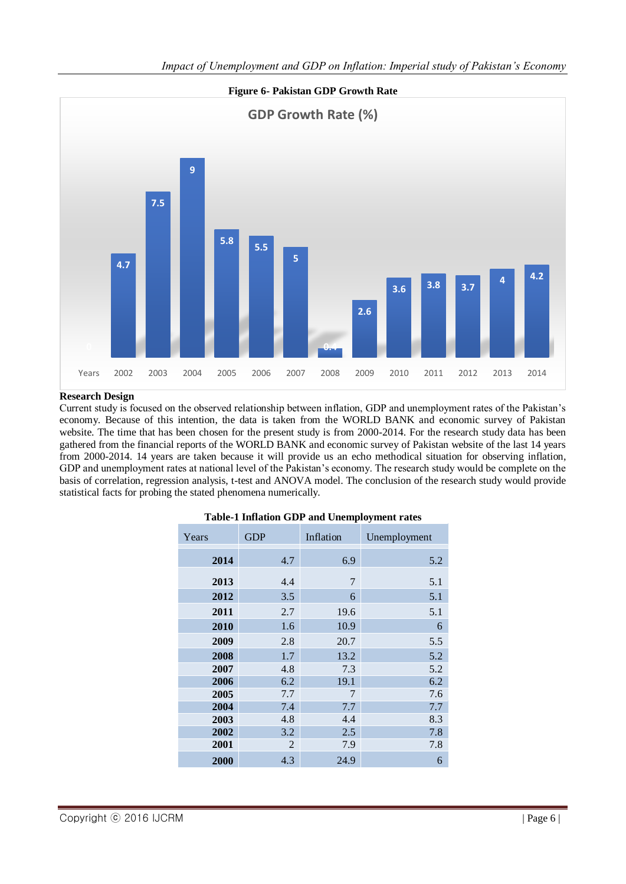

## **Research Design**

Current study is focused on the observed relationship between inflation, GDP and unemployment rates of the Pakistan's economy. Because of this intention, the data is taken from the WORLD BANK and economic survey of Pakistan website. The time that has been chosen for the present study is from 2000-2014. For the research study data has been gathered from the financial reports of the WORLD BANK and economic survey of Pakistan website of the last 14 years from 2000-2014. 14 years are taken because it will provide us an echo methodical situation for observing inflation, GDP and unemployment rates at national level of the Pakistan's economy. The research study would be complete on the basis of correlation, regression analysis, t-test and ANOVA model. The conclusion of the research study would provide statistical facts for probing the stated phenomena numerically.

| Years | <b>GDP</b> | Inflation | Unemployment |
|-------|------------|-----------|--------------|
| 2014  | 4.7        | 6.9       | 5.2          |
| 2013  | 4.4        | 7         | 5.1          |
| 2012  | 3.5        | 6         | 5.1          |
| 2011  | 2.7        | 19.6      | 5.1          |
| 2010  | 1.6        | 10.9      | 6            |
| 2009  | 2.8        | 20.7      | 5.5          |
| 2008  | 1.7        | 13.2      | 5.2          |
| 2007  | 4.8        | 7.3       | 5.2          |
| 2006  | 6.2        | 19.1      | 6.2          |
| 2005  | 7.7        | 7         | 7.6          |
| 2004  | 7.4        | 7.7       | 7.7          |
| 2003  | 4.8        | 4.4       | 8.3          |
| 2002  | 3.2        | 2.5       | 7.8          |
| 2001  | 2          | 7.9       | 7.8          |
| 2000  | 4.3        | 24.9      | 6            |

#### **Table-1 Inflation GDP and Unemployment rates**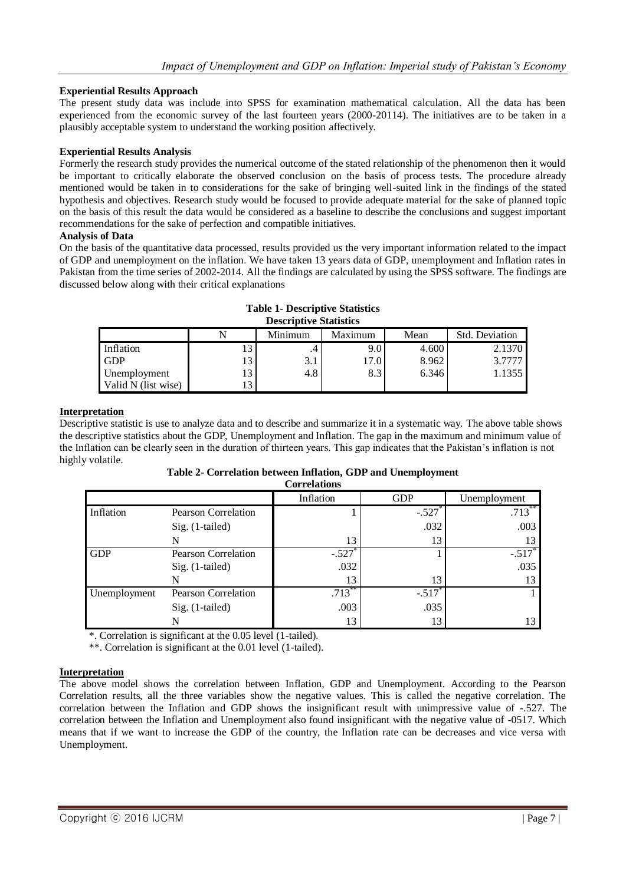## **Experiential Results Approach**

The present study data was include into SPSS for examination mathematical calculation. All the data has been experienced from the economic survey of the last fourteen years (2000-20114). The initiatives are to be taken in a plausibly acceptable system to understand the working position affectively.

#### **Experiential Results Analysis**

Formerly the research study provides the numerical outcome of the stated relationship of the phenomenon then it would be important to critically elaborate the observed conclusion on the basis of process tests. The procedure already mentioned would be taken in to considerations for the sake of bringing well-suited link in the findings of the stated hypothesis and objectives. Research study would be focused to provide adequate material for the sake of planned topic on the basis of this result the data would be considered as a baseline to describe the conclusions and suggest important recommendations for the sake of perfection and compatible initiatives.

#### **Analysis of Data**

On the basis of the quantitative data processed, results provided us the very important information related to the impact of GDP and unemployment on the inflation. We have taken 13 years data of GDP, unemployment and Inflation rates in Pakistan from the time series of 2002-2014. All the findings are calculated by using the SPSS software. The findings are discussed below along with their critical explanations

| <b>Descriptive Statistics</b> |                                                     |     |      |       |        |  |  |
|-------------------------------|-----------------------------------------------------|-----|------|-------|--------|--|--|
|                               | <b>Std. Deviation</b><br>Minimum<br>Mean<br>Maximum |     |      |       |        |  |  |
| Inflation                     | 13                                                  |     | 9.0  | 4.600 | 2.1370 |  |  |
| <b>GDP</b>                    | 13                                                  | 3.1 | 17.0 | 8.962 | 3.7777 |  |  |
| Unemployment                  | 13                                                  | 4.8 | 8.3  | 6.346 | 1.1355 |  |  |
| Valid N (list wise)           | 13                                                  |     |      |       |        |  |  |

#### **Table 1- Descriptive Statistics Descriptive Statistics**

#### **Interpretation**

Descriptive statistic is use to analyze data and to describe and summarize it in a systematic way. The above table shows the descriptive statistics about the GDP, Unemployment and Inflation. The gap in the maximum and minimum value of the Inflation can be clearly seen in the duration of thirteen years. This gap indicates that the Pakistan's inflation is not highly volatile.

#### **Table 2- Correlation between Inflation, GDP and Unemployment**

|              |                            | Inflation | <b>GDP</b> | Unemployment         |
|--------------|----------------------------|-----------|------------|----------------------|
| Inflation    | <b>Pearson Correlation</b> |           | $-.527$    | $.713***$            |
|              | $Sig.$ (1-tailed)          |           | .032       | .003                 |
|              | N                          | 13        | 13         |                      |
| <b>GDP</b>   | <b>Pearson Correlation</b> | $-.527$   |            | $-.517$ <sup>*</sup> |
|              | Sig. (1-tailed)            | .032      |            | .035                 |
|              |                            | 13        | 13         | 13                   |
| Unemployment | <b>Pearson Correlation</b> | $.713***$ | $-.517$    |                      |
|              | $Sig.$ (1-tailed)          | .003      | .035       |                      |
|              | N                          | 13        | 13         |                      |

\*. Correlation is significant at the 0.05 level (1-tailed).

\*\*. Correlation is significant at the 0.01 level (1-tailed).

## **Interpretation**

The above model shows the correlation between Inflation, GDP and Unemployment. According to the Pearson Correlation results, all the three variables show the negative values. This is called the negative correlation. The correlation between the Inflation and GDP shows the insignificant result with unimpressive value of -.527. The correlation between the Inflation and Unemployment also found insignificant with the negative value of -0517. Which means that if we want to increase the GDP of the country, the Inflation rate can be decreases and vice versa with Unemployment.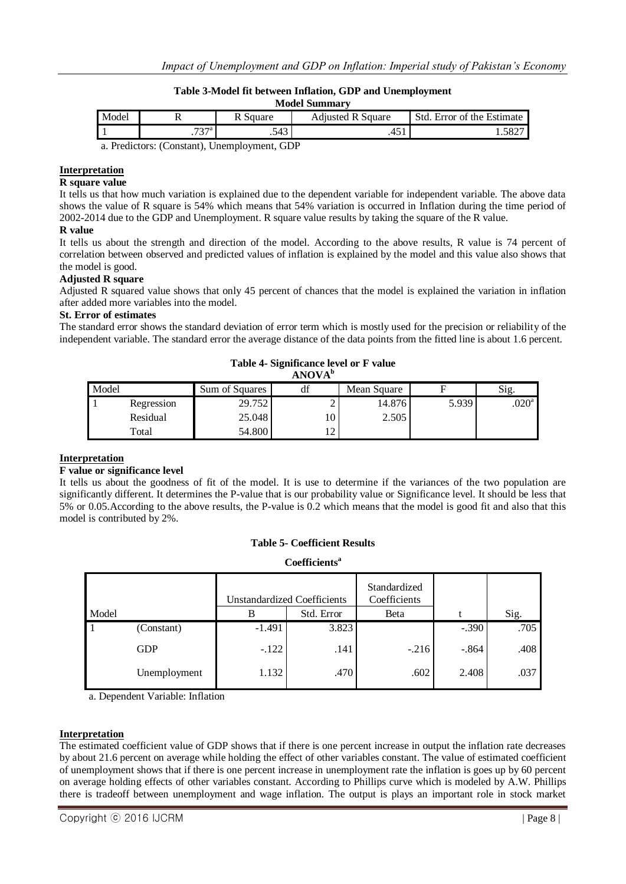## **Table 3-Model fit between Inflation, GDP and Unemployment**

| <b>Model Summary</b>                                                                                                         |      |          |                          |                            |  |  |  |
|------------------------------------------------------------------------------------------------------------------------------|------|----------|--------------------------|----------------------------|--|--|--|
| Model                                                                                                                        |      | R Square | <b>Adjusted R Square</b> | Std. Error of the Estimate |  |  |  |
|                                                                                                                              | ¬っ¬а | .543     | ∶ س+.                    | ാറ∠്                       |  |  |  |
| $\sim$ D <sub>1</sub> H <sub>2</sub> $\sim$ (C <sub>2</sub> $\sim$ $\sim$ $\sim$ H <sub>2</sub> $\sim$ $\sim$ H <sub>2</sub> |      |          |                          |                            |  |  |  |

a. Predictors: (Constant), Unemployment, GDP

#### **Interpretation**

#### **R square value**

It tells us that how much variation is explained due to the dependent variable for independent variable. The above data shows the value of R square is 54% which means that 54% variation is occurred in Inflation during the time period of 2002-2014 due to the GDP and Unemployment. R square value results by taking the square of the R value.

#### **R value**

It tells us about the strength and direction of the model. According to the above results, R value is 74 percent of correlation between observed and predicted values of inflation is explained by the model and this value also shows that the model is good.

#### **Adjusted R square**

Adjusted R squared value shows that only 45 percent of chances that the model is explained the variation in inflation after added more variables into the model.

#### **St. Error of estimates**

The standard error shows the standard deviation of error term which is mostly used for the precision or reliability of the independent variable. The standard error the average distance of the data points from the fitted line is about 1.6 percent.

| ANOVA <sup>b</sup> |            |                |           |             |       |                   |  |
|--------------------|------------|----------------|-----------|-------------|-------|-------------------|--|
| Model              |            | Sum of Squares | df        | Mean Square |       | Sig.              |  |
|                    | Regression | 29.752         | ↩         | 14.876      | 5.939 | .020 <sup>a</sup> |  |
|                    | Residual   | 25.048         | 10!       | 2.505       |       |                   |  |
|                    | Total      | 54.800         | $\bigcap$ |             |       |                   |  |

## **Table 4- Significance level or F value**

#### **Interpretation**

#### **F value or significance level**

It tells us about the goodness of fit of the model. It is use to determine if the variances of the two population are significantly different. It determines the P-value that is our probability value or Significance level. It should be less that 5% or 0.05.According to the above results, the P-value is 0.2 which means that the model is good fit and also that this model is contributed by 2%.

## **Table 5- Coefficient Results**

**Coefficients<sup>a</sup>**

|       |              | <b>Unstandardized Coefficients</b> |            | Standardized<br>Coefficients |         |      |
|-------|--------------|------------------------------------|------------|------------------------------|---------|------|
| Model |              | B                                  | Std. Error | Beta                         |         | Sig. |
| 1     | (Constant)   | $-1.491$                           | 3.823      |                              | $-.390$ | .705 |
|       | <b>GDP</b>   | $-122$                             | .141       | $-.216$                      | $-.864$ | .408 |
|       | Unemployment | 1.132                              | .470       | .602                         | 2.408   | .037 |

a. Dependent Variable: Inflation

#### **Interpretation**

The estimated coefficient value of GDP shows that if there is one percent increase in output the inflation rate decreases by about 21.6 percent on average while holding the effect of other variables constant. The value of estimated coefficient of unemployment shows that if there is one percent increase in unemployment rate the inflation is goes up by 60 percent on average holding effects of other variables constant. According to Phillips curve which is modeled by A.W. Phillips there is tradeoff between unemployment and wage inflation. The output is plays an important role in stock market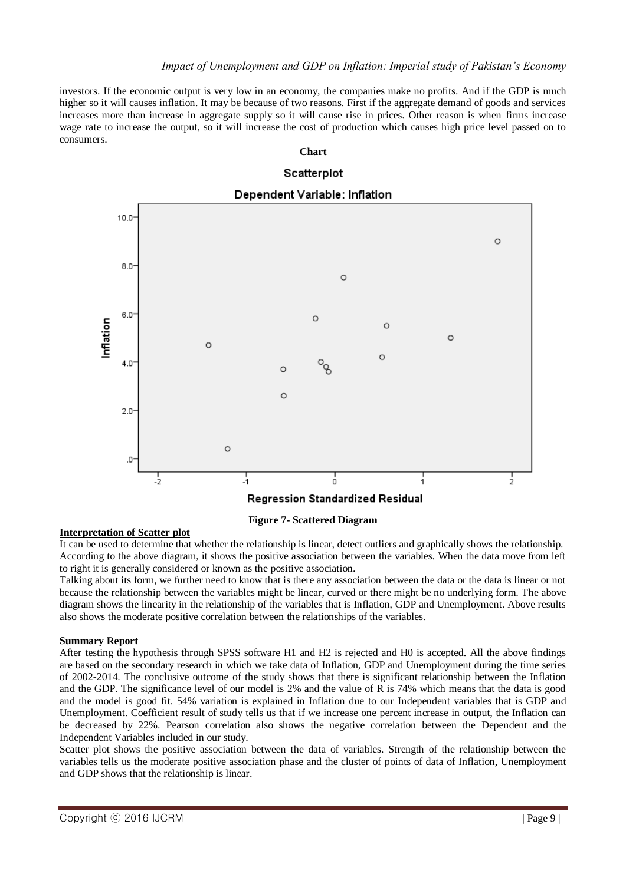investors. If the economic output is very low in an economy, the companies make no profits. And if the GDP is much higher so it will causes inflation. It may be because of two reasons. First if the aggregate demand of goods and services increases more than increase in aggregate supply so it will cause rise in prices. Other reason is when firms increase wage rate to increase the output, so it will increase the cost of production which causes high price level passed on to consumers.

**Chart**





## **Interpretation of Scatter plot**

It can be used to determine that whether the relationship is linear, detect outliers and graphically shows the relationship. According to the above diagram, it shows the positive association between the variables. When the data move from left to right it is generally considered or known as the positive association.

Talking about its form, we further need to know that is there any association between the data or the data is linear or not because the relationship between the variables might be linear, curved or there might be no underlying form. The above diagram shows the linearity in the relationship of the variables that is Inflation, GDP and Unemployment. Above results also shows the moderate positive correlation between the relationships of the variables.

#### **Summary Report**

After testing the hypothesis through SPSS software H1 and H2 is rejected and H0 is accepted. All the above findings are based on the secondary research in which we take data of Inflation, GDP and Unemployment during the time series of 2002-2014. The conclusive outcome of the study shows that there is significant relationship between the Inflation and the GDP. The significance level of our model is 2% and the value of R is 74% which means that the data is good and the model is good fit. 54% variation is explained in Inflation due to our Independent variables that is GDP and Unemployment. Coefficient result of study tells us that if we increase one percent increase in output, the Inflation can be decreased by 22%. Pearson correlation also shows the negative correlation between the Dependent and the Independent Variables included in our study.

Scatter plot shows the positive association between the data of variables. Strength of the relationship between the variables tells us the moderate positive association phase and the cluster of points of data of Inflation, Unemployment and GDP shows that the relationship is linear.